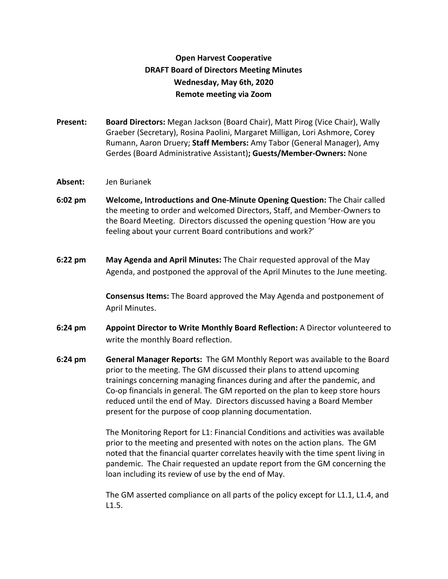## **Open Harvest Cooperative DRAFT Board of Directors Meeting Minutes Wednesday, May 6th, 2020 Remote meeting via Zoom**

- **Present: Board Directors:** Megan Jackson (Board Chair), Matt Pirog (Vice Chair), Wally Graeber (Secretary), Rosina Paolini, Margaret Milligan, Lori Ashmore, Corey Rumann, Aaron Druery; **Staff Members:** Amy Tabor (General Manager), Amy Gerdes (Board Administrative Assistant)**; Guests/Member-Owners:** None
- **Absent:** Jen Burianek
- **6:02 pm Welcome, Introductions and One-Minute Opening Question:** The Chair called the meeting to order and welcomed Directors, Staff, and Member-Owners to the Board Meeting. Directors discussed the opening question 'How are you feeling about your current Board contributions and work?'
- **6:22 pm May Agenda and April Minutes:** The Chair requested approval of the May Agenda, and postponed the approval of the April Minutes to the June meeting.

**Consensus Items:** The Board approved the May Agenda and postponement of April Minutes.

- **6:24 pm Appoint Director to Write Monthly Board Reflection:** A Director volunteered to write the monthly Board reflection.
- **6:24 pm General Manager Reports:** The GM Monthly Report was available to the Board prior to the meeting. The GM discussed their plans to attend upcoming trainings concerning managing finances during and after the pandemic, and Co-op financials in general. The GM reported on the plan to keep store hours reduced until the end of May. Directors discussed having a Board Member present for the purpose of coop planning documentation.

The Monitoring Report for L1: Financial Conditions and activities was available prior to the meeting and presented with notes on the action plans. The GM noted that the financial quarter correlates heavily with the time spent living in pandemic. The Chair requested an update report from the GM concerning the loan including its review of use by the end of May.

The GM asserted compliance on all parts of the policy except for L1.1, L1.4, and L1.5.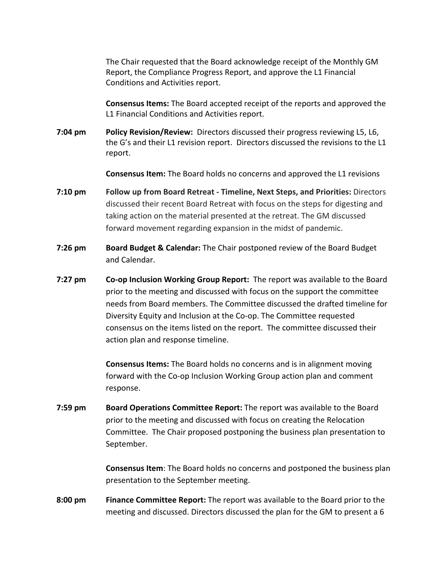The Chair requested that the Board acknowledge receipt of the Monthly GM Report, the Compliance Progress Report, and approve the L1 Financial Conditions and Activities report.

**Consensus Items:** The Board accepted receipt of the reports and approved the L1 Financial Conditions and Activities report.

**7:04 pm Policy Revision/Review:** Directors discussed their progress reviewing L5, L6, the G's and their L1 revision report. Directors discussed the revisions to the L1 report.

**Consensus Item:** The Board holds no concerns and approved the L1 revisions

- **7:10 pm Follow up from Board Retreat Timeline, Next Steps, and Priorities:** Directors discussed their recent Board Retreat with focus on the steps for digesting and taking action on the material presented at the retreat. The GM discussed forward movement regarding expansion in the midst of pandemic.
- **7:26 pm Board Budget & Calendar:** The Chair postponed review of the Board Budget and Calendar.
- **7:27 pm Co-op Inclusion Working Group Report:** The report was available to the Board prior to the meeting and discussed with focus on the support the committee needs from Board members. The Committee discussed the drafted timeline for Diversity Equity and Inclusion at the Co-op. The Committee requested consensus on the items listed on the report. The committee discussed their action plan and response timeline.

**Consensus Items:** The Board holds no concerns and is in alignment moving forward with the Co-op Inclusion Working Group action plan and comment response.

**7:59 pm Board Operations Committee Report:** The report was available to the Board prior to the meeting and discussed with focus on creating the Relocation Committee. The Chair proposed postponing the business plan presentation to September.

> **Consensus Item**: The Board holds no concerns and postponed the business plan presentation to the September meeting.

**8:00 pm Finance Committee Report:** The report was available to the Board prior to the meeting and discussed. Directors discussed the plan for the GM to present a 6